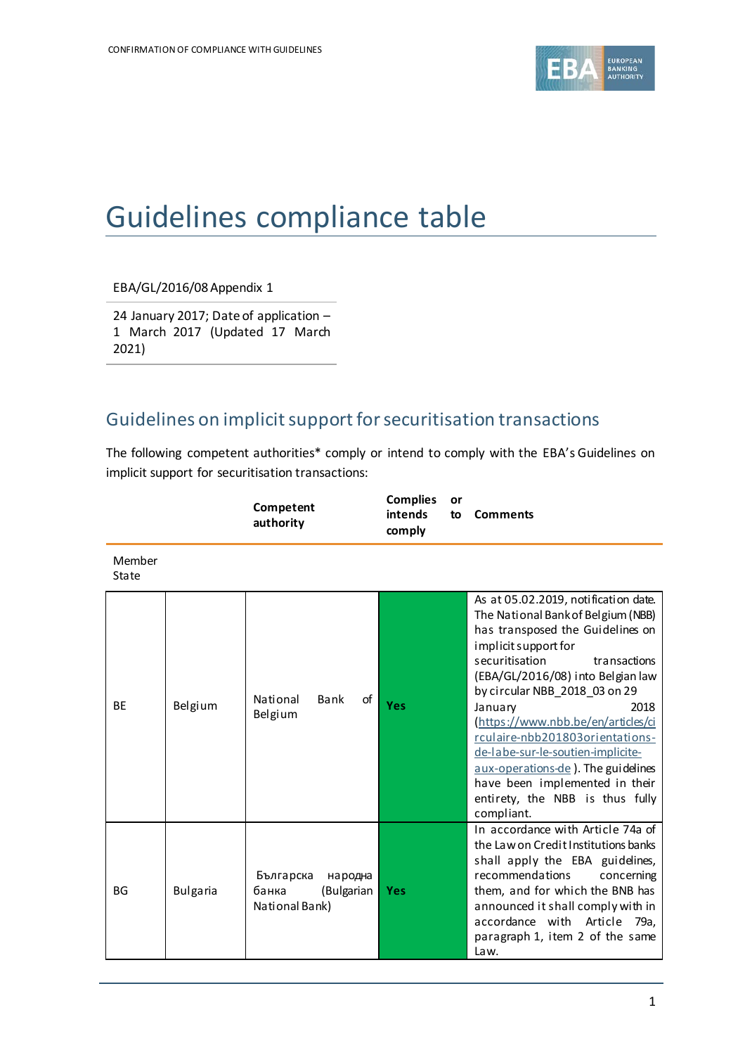

# Guidelines compliance table

EBA/GL/2016/08 Appendix 1

24 January 2017; Date of application – 1 March 2017 (Updated 17 March 2021)

## Guidelines on implicit support for securitisation transactions

The following competent authorities\* comply or intend to comply with the EBA's Guidelines on implicit support for securitisation transactions:

|                 |                 | Competent<br>authority                                        | <b>Complies</b><br>or<br>intends<br>to<br>comply | <b>Comments</b>                                                                                                                                                                                                                                                                                                                                                                                                                                                                                          |
|-----------------|-----------------|---------------------------------------------------------------|--------------------------------------------------|----------------------------------------------------------------------------------------------------------------------------------------------------------------------------------------------------------------------------------------------------------------------------------------------------------------------------------------------------------------------------------------------------------------------------------------------------------------------------------------------------------|
| Member<br>State |                 |                                                               |                                                  |                                                                                                                                                                                                                                                                                                                                                                                                                                                                                                          |
| <b>BE</b>       | Belgium         | of<br>National<br>Bank<br>Belgium                             | <b>Yes</b>                                       | As at 05.02.2019, notification date.<br>The National Bank of Belgium (NBB)<br>has transposed the Guidelines on<br>implicit support for<br>securitisation<br>transactions<br>(EBA/GL/2016/08) into Belgian law<br>by circular NBB_2018_03 on 29<br>2018<br>January<br>(https://www.nbb.be/en/articles/ci<br>rculaire-nbb201803orientations-<br>de-labe-sur-le-soutien-implicite-<br>aux-operations-de). The guidelines<br>have been implemented in their<br>entirety, the NBB is thus fully<br>compliant. |
| <b>BG</b>       | <b>Bulgaria</b> | Българска<br>народна<br>банка<br>(Bulgarian<br>National Bank) | <b>Yes</b>                                       | In accordance with Article 74a of<br>the Law on Credit Institutions banks<br>shall apply the EBA guidelines,<br>recommendations<br>concerning<br>them, and for which the BNB has<br>announced it shall comply with in<br>accordance with Article 79a,<br>paragraph 1, item 2 of the same<br>Law.                                                                                                                                                                                                         |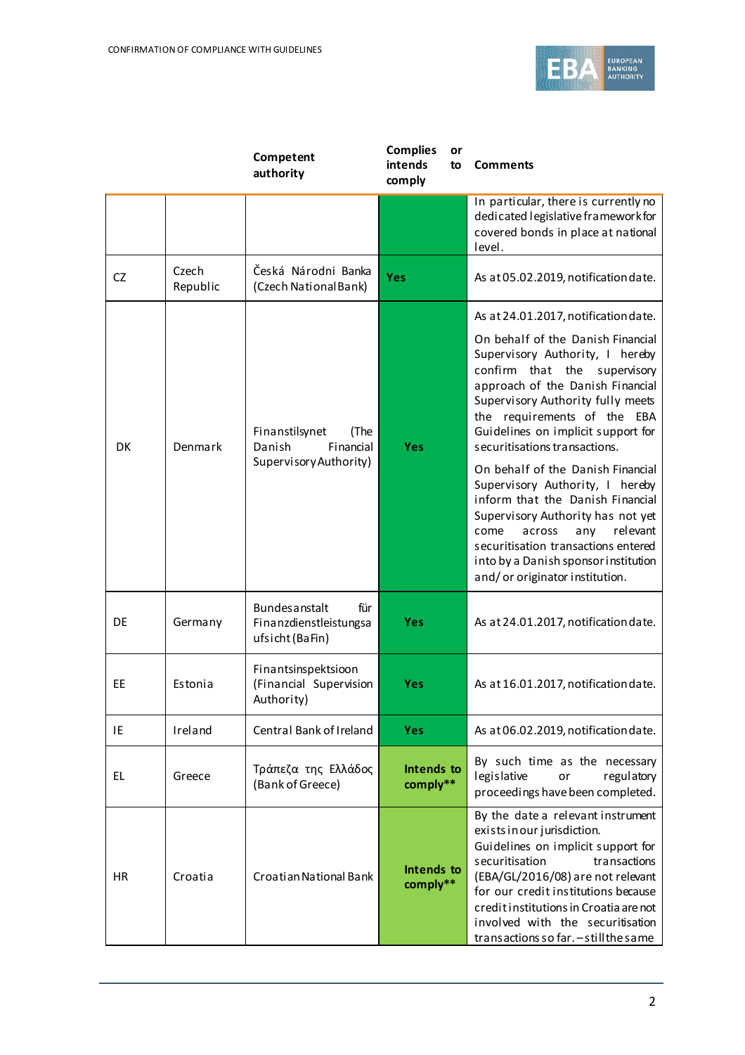

|           |                   | Competent<br>authority                                                    | <b>Complies</b><br>intends<br>comply | or<br>to | <b>Comments</b>                                                                                                                                                                                                                                                                                                                            |
|-----------|-------------------|---------------------------------------------------------------------------|--------------------------------------|----------|--------------------------------------------------------------------------------------------------------------------------------------------------------------------------------------------------------------------------------------------------------------------------------------------------------------------------------------------|
|           |                   |                                                                           |                                      |          | In particular, there is currently no<br>dedicated legislative framework for<br>covered bonds in place at national<br>level.                                                                                                                                                                                                                |
| <b>CZ</b> | Czech<br>Republic | Česká Národni Banka<br>(Czech National Bank)                              | Yes                                  |          | As at 05.02.2019, notification date.                                                                                                                                                                                                                                                                                                       |
| <b>DK</b> | Denmark           | Finanstilsynet<br>(The<br>Financial<br>Danish                             | Yes                                  |          | As at 24.01.2017, notification date.<br>On behalf of the Danish Financial<br>Supervisory Authority, I hereby<br>confirm that the supervisory<br>approach of the Danish Financial<br>Supervisory Authority fully meets<br>the requirements of the EBA<br>Guidelines on implicit support for<br>securitisations transactions.                |
|           |                   | Supervisory Authority)                                                    |                                      |          | On behalf of the Danish Financial<br>Supervisory Authority, I hereby<br>inform that the Danish Financial<br>Supervisory Authority has not yet<br>any<br>relevant<br>come<br>across<br>securitisation transactions entered<br>into by a Danish sponsor institution<br>and/or originator institution.                                        |
| DE        | Germany           | <b>Bundes anstalt</b><br>für<br>Finanzdienstleistungsa<br>ufsicht (BaFin) | <b>Yes</b>                           |          | As at 24.01.2017, notification date.                                                                                                                                                                                                                                                                                                       |
| <b>EE</b> | Estonia           | Finantsinspektsioon<br>(Financial Supervision<br>Authority)               | Yes                                  |          | As at 16.01.2017, notification date.                                                                                                                                                                                                                                                                                                       |
| IE        | Ireland           | Central Bank of Ireland                                                   | <b>Yes</b>                           |          | As at 06.02.2019, notification date.                                                                                                                                                                                                                                                                                                       |
| EL.       | Greece            | Τράπεζα της Ελλάδος<br>(Bank of Greece)                                   | Intends to<br>comply**               |          | By such time as the necessary<br>legislative<br>regulatory<br>or<br>proceedings have been completed.                                                                                                                                                                                                                                       |
| <b>HR</b> | Croatia           | Croatian National Bank                                                    | Intends to<br>comply**               |          | By the date a relevant instrument<br>exists in our jurisdiction.<br>Guidelines on implicit support for<br>transactions<br>securitisation<br>(EBA/GL/2016/08) are not relevant<br>for our credit institutions because<br>creditinstitutions in Croatia are not<br>involved with the securitisation<br>transactions so far. - still the same |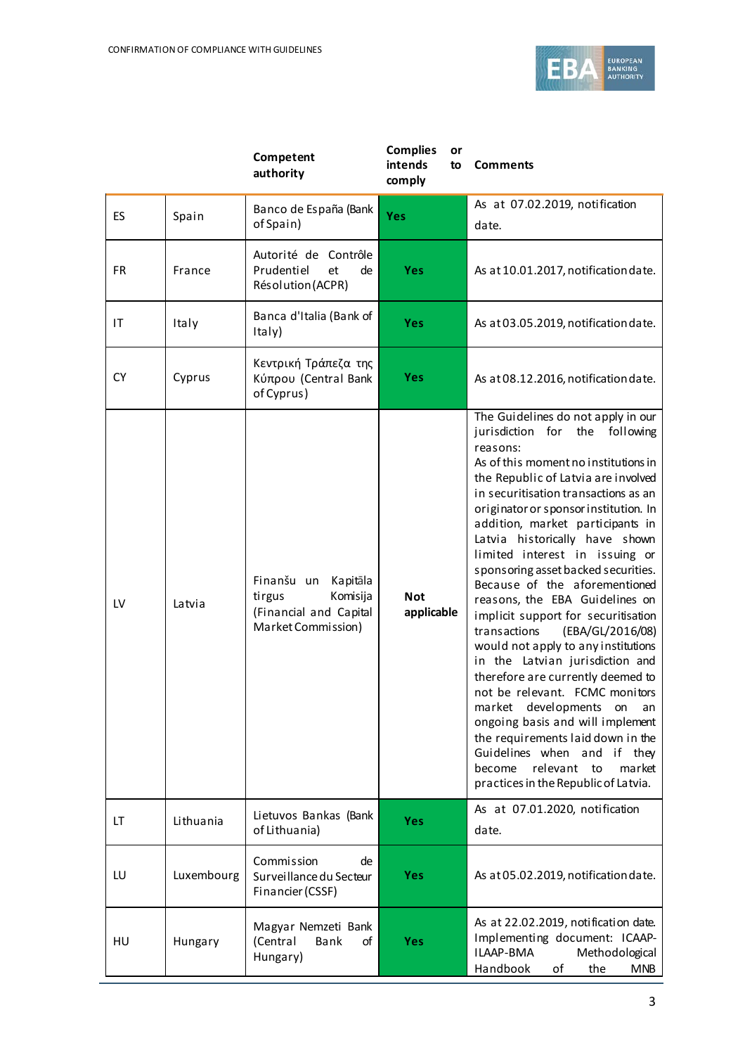

|           |            | Competent<br>authority                                                                       | <b>Complies</b><br>or<br>intends<br>to<br>comply | <b>Comments</b>                                                                                                                                                                                                                                                                                                                                                                                                                                                                                                                                                                                                                                                                                                                                                                                                                                                                                                         |
|-----------|------------|----------------------------------------------------------------------------------------------|--------------------------------------------------|-------------------------------------------------------------------------------------------------------------------------------------------------------------------------------------------------------------------------------------------------------------------------------------------------------------------------------------------------------------------------------------------------------------------------------------------------------------------------------------------------------------------------------------------------------------------------------------------------------------------------------------------------------------------------------------------------------------------------------------------------------------------------------------------------------------------------------------------------------------------------------------------------------------------------|
| <b>ES</b> | Spain      | Banco de España (Bank<br>of Spain)                                                           | Yes                                              | As at 07.02.2019, notification<br>date.                                                                                                                                                                                                                                                                                                                                                                                                                                                                                                                                                                                                                                                                                                                                                                                                                                                                                 |
| FR        | France     | Autorité de Contrôle<br>Prudentiel<br>et<br>de<br>Résolution (ACPR)                          | <b>Yes</b>                                       | As at 10.01.2017, notification date.                                                                                                                                                                                                                                                                                                                                                                                                                                                                                                                                                                                                                                                                                                                                                                                                                                                                                    |
| ΙT        | Italy      | Banca d'Italia (Bank of<br>Italy)                                                            | Yes                                              | As at 03.05.2019, notification date.                                                                                                                                                                                                                                                                                                                                                                                                                                                                                                                                                                                                                                                                                                                                                                                                                                                                                    |
| <b>CY</b> | Cyprus     | Κεντρική Τράπεζα της<br>Κύπρου (Central Bank<br>of Cyprus)                                   | <b>Yes</b>                                       | As at 08.12.2016, notification date.                                                                                                                                                                                                                                                                                                                                                                                                                                                                                                                                                                                                                                                                                                                                                                                                                                                                                    |
| LV        | Latvia     | Finanšu un<br>Kapitāla<br>Komisija<br>tirgus<br>(Financial and Capital<br>Market Commission) | <b>Not</b><br>applicable                         | The Guidelines do not apply in our<br>jurisdiction for the following<br>reasons:<br>As of this moment no institutions in<br>the Republic of Latvia are involved<br>in securitisation transactions as an<br>originator or sponsor institution. In<br>addition, market participants in<br>Latvia historically have shown<br>limited interest in issuing or<br>sponsoring asset backed securities.<br>Because of the aforementioned<br>reasons, the EBA Guidelines on<br>implicit support for securitisation<br>transactions<br>(EBA/GL/2016/08)<br>would not apply to any institutions<br>in the Latvian jurisdiction and<br>therefore are currently deemed to<br>not be relevant. FCMC monitors<br>developments<br>market<br>on<br>an<br>ongoing basis and will implement<br>the requirements laid down in the<br>Guidelines when and if they<br>relevant to<br>become<br>market<br>practices in the Republic of Latvia. |
| LT        | Lithuania  | Lietuvos Bankas (Bank<br>of Lithuania)                                                       | <b>Yes</b>                                       | As at 07.01.2020, notification<br>date.                                                                                                                                                                                                                                                                                                                                                                                                                                                                                                                                                                                                                                                                                                                                                                                                                                                                                 |
| LU        | Luxembourg | Commission<br>de<br>Surveillance du Secteur<br>Financier (CSSF)                              | <b>Yes</b>                                       | As at 05.02.2019, notification date.                                                                                                                                                                                                                                                                                                                                                                                                                                                                                                                                                                                                                                                                                                                                                                                                                                                                                    |
| HU        | Hungary    | Magyar Nemzeti Bank<br>(Central<br>Bank<br>οf<br>Hungary)                                    | <b>Yes</b>                                       | As at 22.02.2019, notification date.<br>Implementing document: ICAAP-<br><b>ILAAP-BMA</b><br>Methodological<br>Handbook<br>οf<br>the<br><b>MNB</b>                                                                                                                                                                                                                                                                                                                                                                                                                                                                                                                                                                                                                                                                                                                                                                      |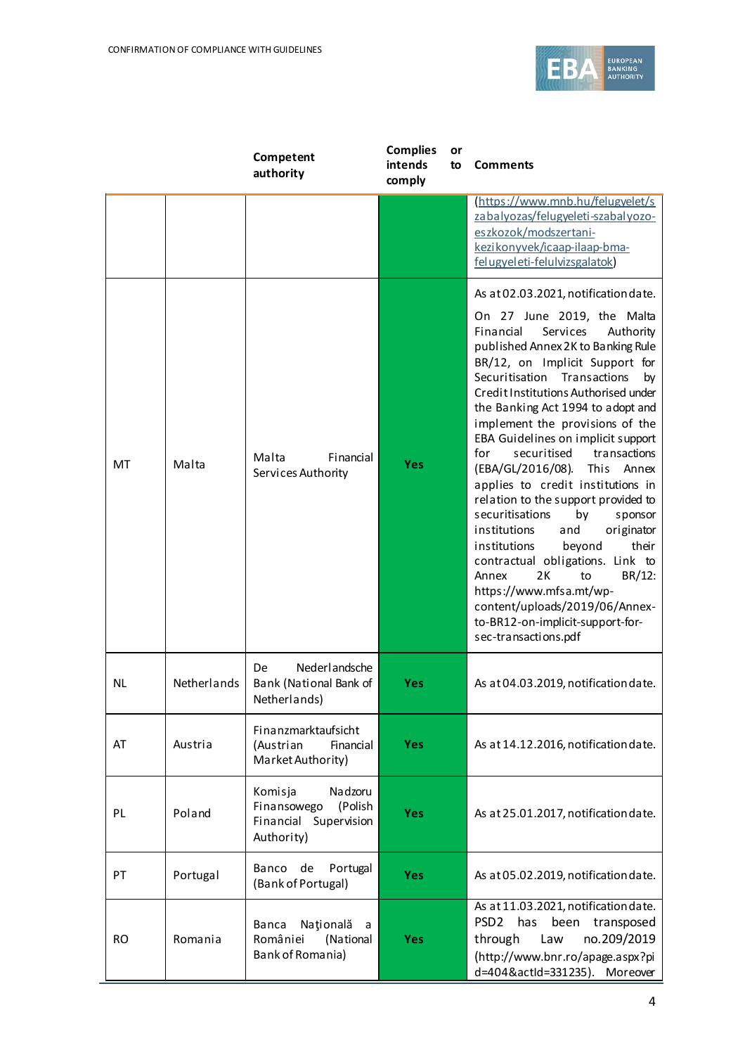

|           |             | Competent<br>authority                                                              | <b>Complies</b><br>intends<br>comply | or<br>to | <b>Comments</b>                                                                                                                                                                                                                                                                                                                                                                                                                                                                                                                                                                                                                                                                                                                                                                                                                          |
|-----------|-------------|-------------------------------------------------------------------------------------|--------------------------------------|----------|------------------------------------------------------------------------------------------------------------------------------------------------------------------------------------------------------------------------------------------------------------------------------------------------------------------------------------------------------------------------------------------------------------------------------------------------------------------------------------------------------------------------------------------------------------------------------------------------------------------------------------------------------------------------------------------------------------------------------------------------------------------------------------------------------------------------------------------|
|           |             |                                                                                     |                                      |          | https://www.mnb.hu/felugyelet/s<br>zabalyozas/felugyeleti-szabalyozo-<br>eszkozok/modszertani-<br>kezikonyvek/icaap-ilaap-bma-<br>felugyeleti-felulvizsgalatok)                                                                                                                                                                                                                                                                                                                                                                                                                                                                                                                                                                                                                                                                          |
| MT        | Malta       | Malta<br>Financial<br>Services Authority                                            | Yes                                  |          | As at 02.03.2021, notification date.<br>On 27 June 2019, the Malta<br>Financial<br>Services<br>Authority<br>published Annex 2K to Banking Rule<br>BR/12, on Implicit Support for<br>Securitisation Transactions<br>by<br>Credit Institutions Authorised under<br>the Banking Act 1994 to adopt and<br>implement the provisions of the<br>EBA Guidelines on implicit support<br>for<br>securitised<br>transactions<br>(EBA/GL/2016/08).<br>This Annex<br>applies to credit institutions in<br>relation to the support provided to<br>securitisations<br>by<br>sponsor<br>institutions<br>and<br>originator<br>institutions<br>beyond<br>their<br>contractual obligations. Link to<br>Annex<br>2K<br>to<br>BR/12:<br>https://www.mfsa.mt/wp-<br>content/uploads/2019/06/Annex-<br>to-BR12-on-implicit-support-for-<br>sec-transactions.pdf |
| <b>NL</b> | Netherlands | Nederlandsche<br>De<br>Bank (National Bank of<br>Netherlands)                       | Yes                                  |          | As at 04.03.2019, notification date.                                                                                                                                                                                                                                                                                                                                                                                                                                                                                                                                                                                                                                                                                                                                                                                                     |
| AT        | Austria     | Finanzmarktaufsicht<br>(Austrian<br>Financial<br>Market Authority)                  | <b>Yes</b>                           |          | As at 14.12.2016, notification date.                                                                                                                                                                                                                                                                                                                                                                                                                                                                                                                                                                                                                                                                                                                                                                                                     |
| PL        | Poland      | Nadzoru<br>Komisja<br>Finansowego<br>(Polish<br>Financial Supervision<br>Authority) | Yes                                  |          | As at 25.01.2017, notification date.                                                                                                                                                                                                                                                                                                                                                                                                                                                                                                                                                                                                                                                                                                                                                                                                     |
| PT        | Portugal    | Banco de<br>Portugal<br>(Bank of Portugal)                                          | <b>Yes</b>                           |          | As at 05.02.2019, notification date.                                                                                                                                                                                                                                                                                                                                                                                                                                                                                                                                                                                                                                                                                                                                                                                                     |
| <b>RO</b> | Romania     | Națională<br><b>Banca</b><br>a<br>României<br>(National<br>Bank of Romania)         | Yes                                  |          | As at 11.03.2021, notification date.<br>PSD <sub>2</sub><br>has<br>transposed<br>been<br>no.209/2019<br>through<br>Law<br>(http://www.bnr.ro/apage.aspx?pi<br>d=404&actId=331235). Moreover                                                                                                                                                                                                                                                                                                                                                                                                                                                                                                                                                                                                                                              |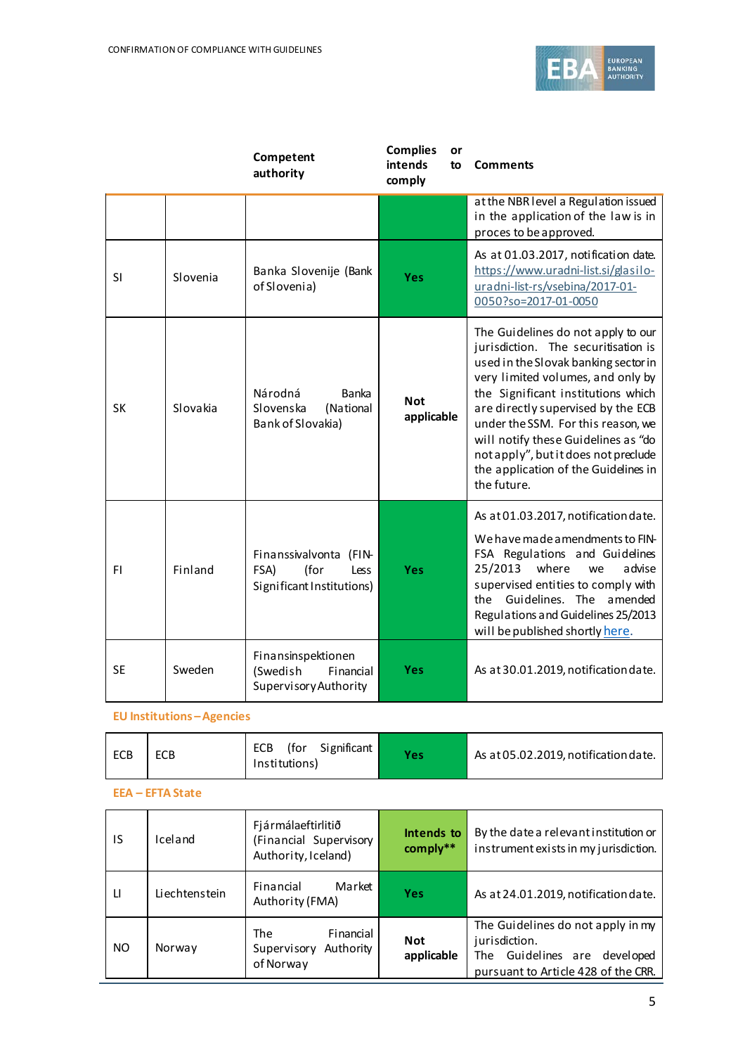

|           |          | Competent<br>authority                                                      | <b>Complies</b><br>or<br>intends<br>to<br>comply | <b>Comments</b>                                                                                                                                                                                                                                                                                                                                                                                                |
|-----------|----------|-----------------------------------------------------------------------------|--------------------------------------------------|----------------------------------------------------------------------------------------------------------------------------------------------------------------------------------------------------------------------------------------------------------------------------------------------------------------------------------------------------------------------------------------------------------------|
|           |          |                                                                             |                                                  | at the NBR level a Regulation issued<br>in the application of the law is in<br>proces to be approved.                                                                                                                                                                                                                                                                                                          |
| <b>SI</b> | Slovenia | Banka Slovenije (Bank<br>of Slovenia)                                       | Yes                                              | As at 01.03.2017, notification date.<br>https://www.uradni-list.si/glasilo-<br>uradni-list-rs/vsebina/2017-01-<br>0050?so=2017-01-0050                                                                                                                                                                                                                                                                         |
| <b>SK</b> | Slovakia | Národná<br>Banka<br>Slovenska<br>(National<br>Bank of Slovakia)             | <b>Not</b><br>applicable                         | The Guidelines do not apply to our<br>jurisdiction. The securitisation is<br>used in the Slovak banking sector in<br>very limited volumes, and only by<br>the Significant institutions which<br>are directly supervised by the ECB<br>under the SSM. For this reason, we<br>will notify these Guidelines as "do<br>not apply", but it does not preclude<br>the application of the Guidelines in<br>the future. |
| FI.       | Finland  | Finanssivalvonta (FIN-<br>(for<br>FSA)<br>Less<br>Significant Institutions) | <b>Yes</b>                                       | As at 01.03.2017, notification date.<br>We have made amendments to FIN-<br>FSA Regulations and Guidelines<br>25/2013<br>where<br>advise<br>we<br>supervised entities to comply with<br>Guidelines. The amended<br>the<br>Regulations and Guidelines 25/2013<br>will be published shortly here.                                                                                                                 |
| <b>SE</b> | Sweden   | Finansinspektionen<br>(Swedish<br>Financial<br>Supervisory Authority        | <b>Yes</b>                                       | As at 30.01.2019, notification date.                                                                                                                                                                                                                                                                                                                                                                           |

### **EU Institutions –Agencies**

| <b>ECB</b> | <b>ECB</b> | (for Significant<br>ECB<br>Institutions) | <b>Yes</b> | As at 05.02.2019, notification date. |
|------------|------------|------------------------------------------|------------|--------------------------------------|
|------------|------------|------------------------------------------|------------|--------------------------------------|

#### **EEA – EFTA State**

| IS           | Iceland       | Fjármálaeftirlitið<br>(Financial Supervisory<br>Authority, Iceland) | Intends to<br>comply** | By the date a relevant institution or<br>instrument exists in my jurisdiction.                                            |
|--------------|---------------|---------------------------------------------------------------------|------------------------|---------------------------------------------------------------------------------------------------------------------------|
| $\mathsf{H}$ | Liechtenstein | Market<br>Financial<br>Authority (FMA)                              | Yes                    | As at 24.01.2019, notification date.                                                                                      |
| <b>NO</b>    | Norway        | Financial<br>The<br>Supervisory<br>Authority<br>of Norway           | Not<br>applicable      | The Guidelines do not apply in my<br>jurisdiction.<br>The Guidelines are developed<br>pursuant to Article 428 of the CRR. |